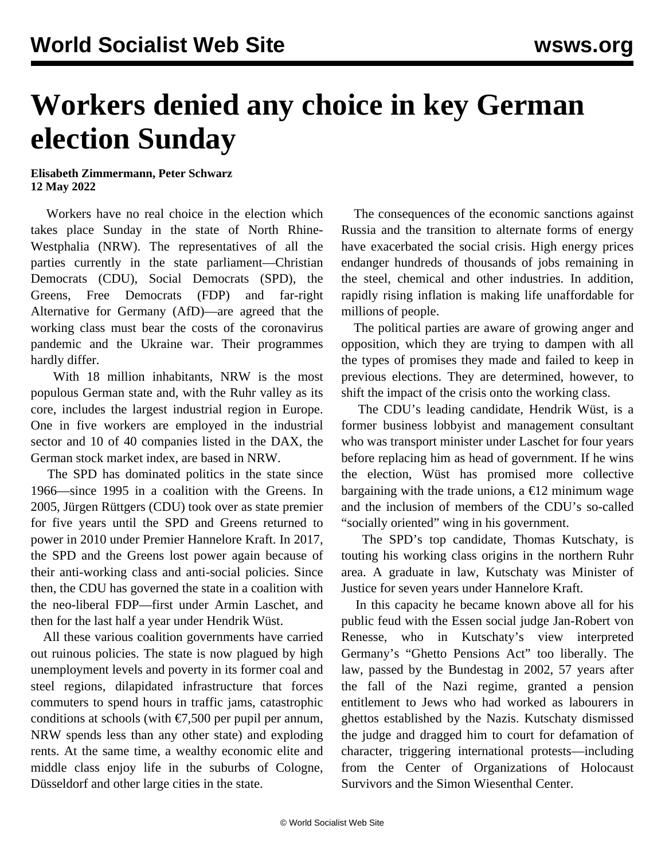## **Workers denied any choice in key German election Sunday**

## **Elisabeth Zimmermann, Peter Schwarz 12 May 2022**

 Workers have no real choice in the election which takes place Sunday in the state of North Rhine-Westphalia (NRW). The representatives of all the parties currently in the state parliament—Christian Democrats (CDU), Social Democrats (SPD), the Greens, Free Democrats (FDP) and far-right Alternative for Germany (AfD)—are agreed that the working class must bear the costs of the coronavirus pandemic and the Ukraine war. Their programmes hardly differ.

 With 18 million inhabitants, NRW is the most populous German state and, with the Ruhr valley as its core, includes the largest industrial region in Europe. One in five workers are employed in the industrial sector and 10 of 40 companies listed in the DAX, the German stock market index, are based in NRW.

 The SPD has dominated politics in the state since 1966—since 1995 in a coalition with the Greens. In 2005, Jürgen Rüttgers (CDU) took over as state premier for five years until the SPD and Greens returned to power in 2010 under Premier Hannelore Kraft. In 2017, the SPD and the Greens lost power again because of their anti-working class and anti-social policies. Since then, the CDU has governed the state in a coalition with the neo-liberal FDP—first under Armin Laschet, and then for the last half a year under Hendrik Wüst.

 All these various coalition governments have carried out ruinous policies. The state is now plagued by high unemployment levels and poverty in its former coal and steel regions, dilapidated infrastructure that forces commuters to spend hours in traffic jams, catastrophic conditions at schools (with  $\epsilon$ 7,500 per pupil per annum, NRW spends less than any other state) and exploding rents. At the same time, a wealthy economic elite and middle class enjoy life in the suburbs of Cologne, Düsseldorf and other large cities in the state.

 The consequences of the economic sanctions against Russia and the transition to alternate forms of energy have exacerbated the social crisis. High energy prices endanger hundreds of thousands of jobs remaining in the steel, chemical and other industries. In addition, rapidly rising inflation is making life unaffordable for millions of people.

 The political parties are aware of growing anger and opposition, which they are trying to dampen with all the types of promises they made and failed to keep in previous elections. They are determined, however, to shift the impact of the crisis onto the working class.

 The CDU's leading candidate, Hendrik Wüst, is a former business lobbyist and management consultant who was transport minister under Laschet for four years before replacing him as head of government. If he wins the election, Wüst has promised more collective bargaining with the trade unions, a  $\epsilon$ 12 minimum wage and the inclusion of members of the CDU's so-called "socially oriented" wing in his government.

 The SPD's top candidate, Thomas Kutschaty, is touting his working class origins in the northern Ruhr area. A graduate in law, Kutschaty was Minister of Justice for seven years under Hannelore Kraft.

 In this capacity he became known above all for his public feud with the Essen social judge Jan-Robert von Renesse, who in Kutschaty's view interpreted Germany's "Ghetto Pensions Act" too liberally. The law, passed by the Bundestag in 2002, 57 years after the fall of the Nazi regime, granted a pension entitlement to Jews who had worked as labourers in ghettos established by the Nazis. Kutschaty dismissed the judge and dragged him to court for defamation of character, triggering international protests—including from the Center of Organizations of Holocaust Survivors and the Simon Wiesenthal Center.